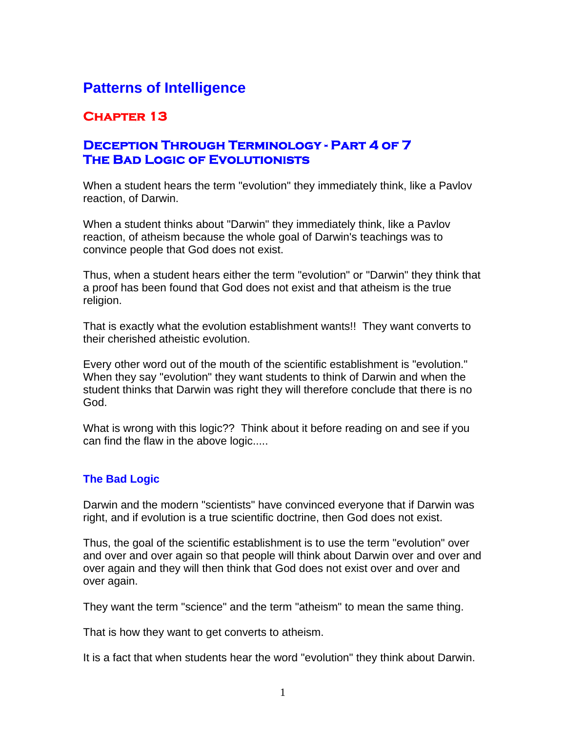# **Patterns of Intelligence**

# **Chapter 13**

## **Deception Through Terminology - Part 4 of 7 The Bad Logic of Evolutionists**

When a student hears the term "evolution" they immediately think, like a Pavlov reaction, of Darwin.

When a student thinks about "Darwin" they immediately think, like a Pavlov reaction, of atheism because the whole goal of Darwin's teachings was to convince people that God does not exist.

Thus, when a student hears either the term "evolution" or "Darwin" they think that a proof has been found that God does not exist and that atheism is the true religion.

That is exactly what the evolution establishment wants!! They want converts to their cherished atheistic evolution.

Every other word out of the mouth of the scientific establishment is "evolution." When they say "evolution" they want students to think of Darwin and when the student thinks that Darwin was right they will therefore conclude that there is no God.

What is wrong with this logic?? Think about it before reading on and see if you can find the flaw in the above logic.....

### **The Bad Logic**

Darwin and the modern "scientists" have convinced everyone that if Darwin was right, and if evolution is a true scientific doctrine, then God does not exist.

Thus, the goal of the scientific establishment is to use the term "evolution" over and over and over again so that people will think about Darwin over and over and over again and they will then think that God does not exist over and over and over again.

They want the term "science" and the term "atheism" to mean the same thing.

That is how they want to get converts to atheism.

It is a fact that when students hear the word "evolution" they think about Darwin.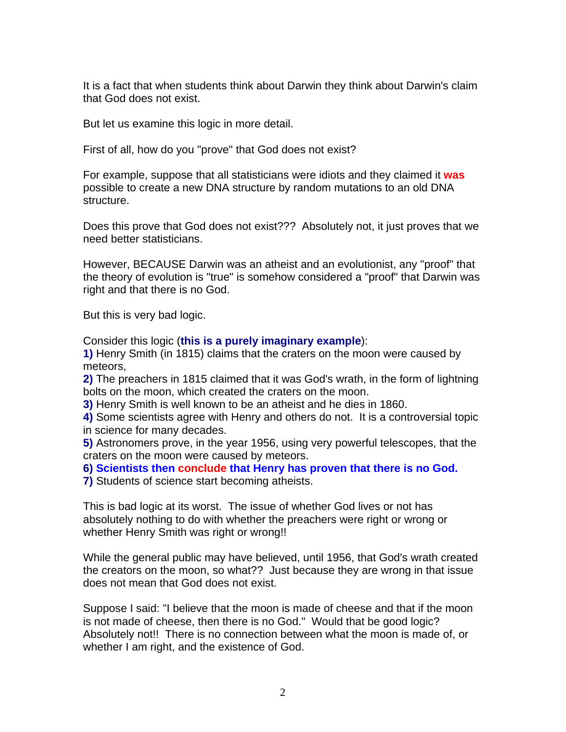It is a fact that when students think about Darwin they think about Darwin's claim that God does not exist.

But let us examine this logic in more detail.

First of all, how do you "prove" that God does not exist?

For example, suppose that all statisticians were idiots and they claimed it **was** possible to create a new DNA structure by random mutations to an old DNA structure.

Does this prove that God does not exist??? Absolutely not, it just proves that we need better statisticians.

However, BECAUSE Darwin was an atheist and an evolutionist, any "proof" that the theory of evolution is "true" is somehow considered a "proof" that Darwin was right and that there is no God.

But this is very bad logic.

Consider this logic (**this is a purely imaginary example**):

**1)** Henry Smith (in 1815) claims that the craters on the moon were caused by meteors,

**2)** The preachers in 1815 claimed that it was God's wrath, in the form of lightning bolts on the moon, which created the craters on the moon.

**3)** Henry Smith is well known to be an atheist and he dies in 1860.

**4)** Some scientists agree with Henry and others do not. It is a controversial topic in science for many decades.

**5)** Astronomers prove, in the year 1956, using very powerful telescopes, that the craters on the moon were caused by meteors.

**6) Scientists then conclude that Henry has proven that there is no God.**

**7)** Students of science start becoming atheists.

This is bad logic at its worst. The issue of whether God lives or not has absolutely nothing to do with whether the preachers were right or wrong or whether Henry Smith was right or wrong!!

While the general public may have believed, until 1956, that God's wrath created the creators on the moon, so what?? Just because they are wrong in that issue does not mean that God does not exist.

Suppose I said: "I believe that the moon is made of cheese and that if the moon is not made of cheese, then there is no God." Would that be good logic? Absolutely not!! There is no connection between what the moon is made of, or whether I am right, and the existence of God.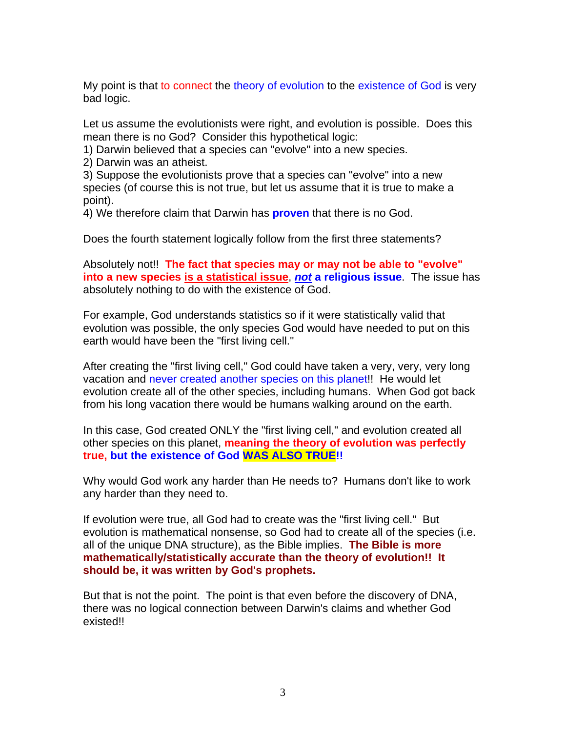My point is that to connect the theory of evolution to the existence of God is very bad logic.

Let us assume the evolutionists were right, and evolution is possible. Does this mean there is no God? Consider this hypothetical logic:

1) Darwin believed that a species can "evolve" into a new species.

2) Darwin was an atheist.

3) Suppose the evolutionists prove that a species can "evolve" into a new species (of course this is not true, but let us assume that it is true to make a point).

4) We therefore claim that Darwin has **proven** that there is no God.

Does the fourth statement logically follow from the first three statements?

Absolutely not!! **The fact that species may or may not be able to "evolve" into a new species is a statistical issue**, *not* **a religious issue**. The issue has absolutely nothing to do with the existence of God.

For example, God understands statistics so if it were statistically valid that evolution was possible, the only species God would have needed to put on this earth would have been the "first living cell."

After creating the "first living cell," God could have taken a very, very, very long vacation and never created another species on this planet!! He would let evolution create all of the other species, including humans. When God got back from his long vacation there would be humans walking around on the earth.

In this case, God created ONLY the "first living cell," and evolution created all other species on this planet, **meaning the theory of evolution was perfectly true, but the existence of God WAS ALSO TRUE!!**

Why would God work any harder than He needs to? Humans don't like to work any harder than they need to.

If evolution were true, all God had to create was the "first living cell." But evolution is mathematical nonsense, so God had to create all of the species (i.e. all of the unique DNA structure), as the Bible implies. **The Bible is more mathematically/statistically accurate than the theory of evolution!! It should be, it was written by God's prophets.**

But that is not the point. The point is that even before the discovery of DNA, there was no logical connection between Darwin's claims and whether God existed!!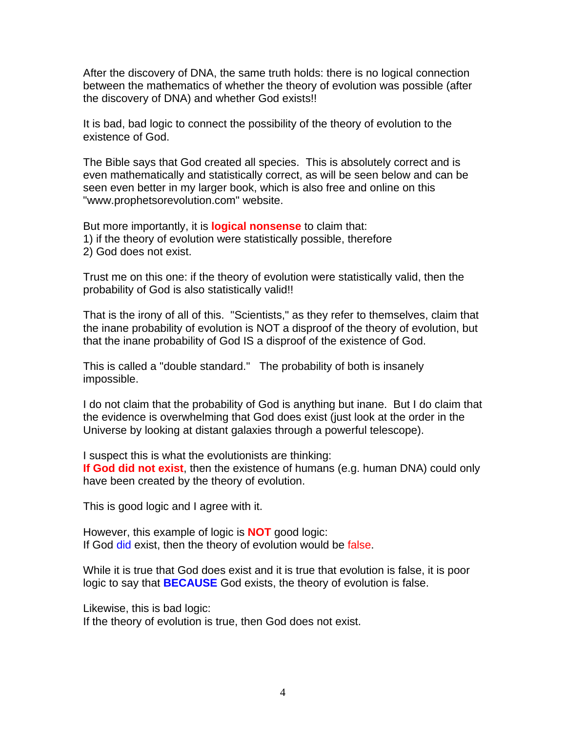After the discovery of DNA, the same truth holds: there is no logical connection between the mathematics of whether the theory of evolution was possible (after the discovery of DNA) and whether God exists!!

It is bad, bad logic to connect the possibility of the theory of evolution to the existence of God.

The Bible says that God created all species. This is absolutely correct and is even mathematically and statistically correct, as will be seen below and can be seen even better in my larger book, which is also free and online on this "www.prophetsorevolution.com" website.

But more importantly, it is **logical nonsense** to claim that: 1) if the theory of evolution were statistically possible, therefore 2) God does not exist.

Trust me on this one: if the theory of evolution were statistically valid, then the probability of God is also statistically valid!!

That is the irony of all of this. "Scientists," as they refer to themselves, claim that the inane probability of evolution is NOT a disproof of the theory of evolution, but that the inane probability of God IS a disproof of the existence of God.

This is called a "double standard." The probability of both is insanely impossible.

I do not claim that the probability of God is anything but inane. But I do claim that the evidence is overwhelming that God does exist (just look at the order in the Universe by looking at distant galaxies through a powerful telescope).

I suspect this is what the evolutionists are thinking: **If God did not exist**, then the existence of humans (e.g. human DNA) could only have been created by the theory of evolution.

This is good logic and I agree with it.

However, this example of logic is **NOT** good logic: If God did exist, then the theory of evolution would be false.

While it is true that God does exist and it is true that evolution is false, it is poor logic to say that **BECAUSE** God exists, the theory of evolution is false.

Likewise, this is bad logic:

If the theory of evolution is true, then God does not exist.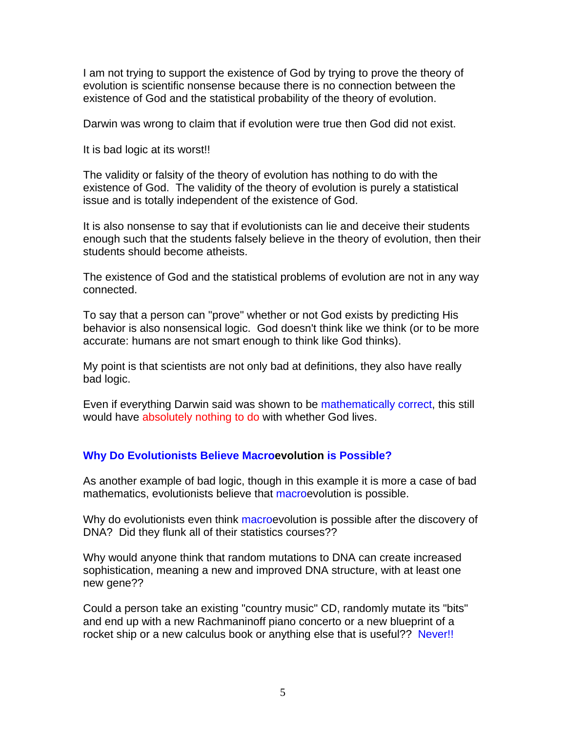I am not trying to support the existence of God by trying to prove the theory of evolution is scientific nonsense because there is no connection between the existence of God and the statistical probability of the theory of evolution.

Darwin was wrong to claim that if evolution were true then God did not exist.

It is bad logic at its worst!!

The validity or falsity of the theory of evolution has nothing to do with the existence of God. The validity of the theory of evolution is purely a statistical issue and is totally independent of the existence of God.

It is also nonsense to say that if evolutionists can lie and deceive their students enough such that the students falsely believe in the theory of evolution, then their students should become atheists.

The existence of God and the statistical problems of evolution are not in any way connected.

To say that a person can "prove" whether or not God exists by predicting His behavior is also nonsensical logic. God doesn't think like we think (or to be more accurate: humans are not smart enough to think like God thinks).

My point is that scientists are not only bad at definitions, they also have really bad logic.

Even if everything Darwin said was shown to be mathematically correct, this still would have absolutely nothing to do with whether God lives.

### **Why Do Evolutionists Believe Macroevolution is Possible?**

As another example of bad logic, though in this example it is more a case of bad mathematics, evolutionists believe that macroevolution is possible.

Why do evolutionists even think macroevolution is possible after the discovery of DNA? Did they flunk all of their statistics courses??

Why would anyone think that random mutations to DNA can create increased sophistication, meaning a new and improved DNA structure, with at least one new gene??

Could a person take an existing "country music" CD, randomly mutate its "bits" and end up with a new Rachmaninoff piano concerto or a new blueprint of a rocket ship or a new calculus book or anything else that is useful?? Never!!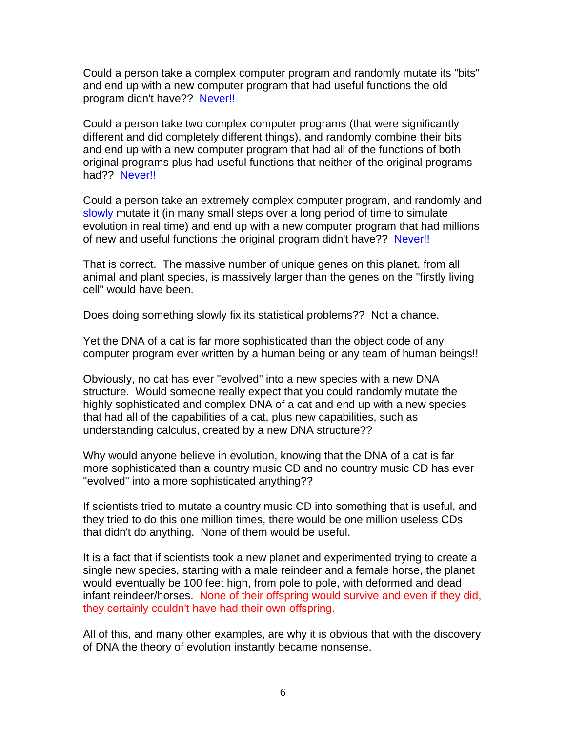Could a person take a complex computer program and randomly mutate its "bits" and end up with a new computer program that had useful functions the old program didn't have?? Never!!

Could a person take two complex computer programs (that were significantly different and did completely different things), and randomly combine their bits and end up with a new computer program that had all of the functions of both original programs plus had useful functions that neither of the original programs had?? Never!!

Could a person take an extremely complex computer program, and randomly and slowly mutate it (in many small steps over a long period of time to simulate evolution in real time) and end up with a new computer program that had millions of new and useful functions the original program didn't have?? Never!!

That is correct. The massive number of unique genes on this planet, from all animal and plant species, is massively larger than the genes on the "firstly living cell" would have been.

Does doing something slowly fix its statistical problems?? Not a chance.

Yet the DNA of a cat is far more sophisticated than the object code of any computer program ever written by a human being or any team of human beings!!

Obviously, no cat has ever "evolved" into a new species with a new DNA structure. Would someone really expect that you could randomly mutate the highly sophisticated and complex DNA of a cat and end up with a new species that had all of the capabilities of a cat, plus new capabilities, such as understanding calculus, created by a new DNA structure??

Why would anyone believe in evolution, knowing that the DNA of a cat is far more sophisticated than a country music CD and no country music CD has ever "evolved" into a more sophisticated anything??

If scientists tried to mutate a country music CD into something that is useful, and they tried to do this one million times, there would be one million useless CDs that didn't do anything. None of them would be useful.

It is a fact that if scientists took a new planet and experimented trying to create a single new species, starting with a male reindeer and a female horse, the planet would eventually be 100 feet high, from pole to pole, with deformed and dead infant reindeer/horses. None of their offspring would survive and even if they did, they certainly couldn't have had their own offspring.

All of this, and many other examples, are why it is obvious that with the discovery of DNA the theory of evolution instantly became nonsense.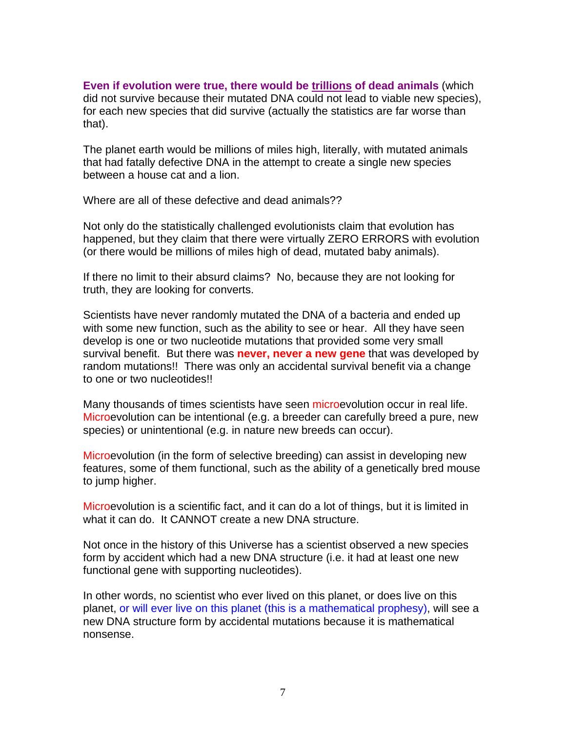#### **Even if evolution were true, there would be trillions of dead animals** (which did not survive because their mutated DNA could not lead to viable new species), for each new species that did survive (actually the statistics are far worse than that).

The planet earth would be millions of miles high, literally, with mutated animals that had fatally defective DNA in the attempt to create a single new species between a house cat and a lion.

Where are all of these defective and dead animals??

Not only do the statistically challenged evolutionists claim that evolution has happened, but they claim that there were virtually ZERO ERRORS with evolution (or there would be millions of miles high of dead, mutated baby animals).

If there no limit to their absurd claims? No, because they are not looking for truth, they are looking for converts.

Scientists have never randomly mutated the DNA of a bacteria and ended up with some new function, such as the ability to see or hear. All they have seen develop is one or two nucleotide mutations that provided some very small survival benefit. But there was **never, never a new gene** that was developed by random mutations!! There was only an accidental survival benefit via a change to one or two nucleotides!!

Many thousands of times scientists have seen microevolution occur in real life. Microevolution can be intentional (e.g. a breeder can carefully breed a pure, new species) or unintentional (e.g. in nature new breeds can occur).

Microevolution (in the form of selective breeding) can assist in developing new features, some of them functional, such as the ability of a genetically bred mouse to jump higher.

Microevolution is a scientific fact, and it can do a lot of things, but it is limited in what it can do. It CANNOT create a new DNA structure.

Not once in the history of this Universe has a scientist observed a new species form by accident which had a new DNA structure (i.e. it had at least one new functional gene with supporting nucleotides).

In other words, no scientist who ever lived on this planet, or does live on this planet, or will ever live on this planet (this is a mathematical prophesy), will see a new DNA structure form by accidental mutations because it is mathematical nonsense.